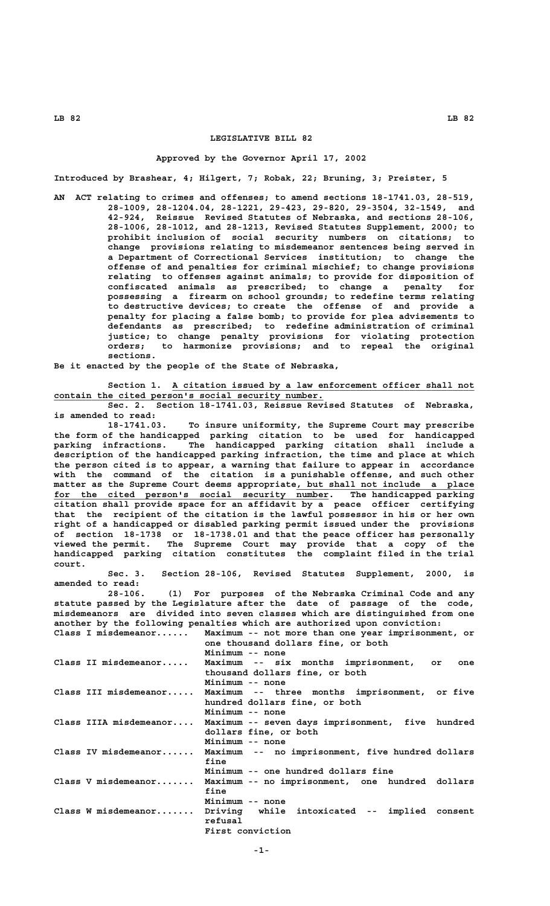## **LEGISLATIVE BILL 82**

## **Approved by the Governor April 17, 2002**

**Introduced by Brashear, 4; Hilgert, 7; Robak, 22; Bruning, 3; Preister, 5**

**AN ACT relating to crimes and offenses; to amend sections 18-1741.03, 28-519, 28-1009, 28-1204.04, 28-1221, 29-423, 29-820, 29-3504, 32-1549, and 42-924, Reissue Revised Statutes of Nebraska, and sections 28-106, 28-1006, 28-1012, and 28-1213, Revised Statutes Supplement, 2000; to prohibit inclusion of social security numbers on citations; to change provisions relating to misdemeanor sentences being served in a Department of Correctional Services institution; to change the offense of and penalties for criminal mischief; to change provisions relating to offenses against animals; to provide for disposition of confiscated animals as prescribed; to change a penalty for possessing a firearm on school grounds; to redefine terms relating to destructive devices; to create the offense of and provide a penalty for placing a false bomb; to provide for plea advisements to defendants as prescribed; to redefine administration of criminal justice; to change penalty provisions for violating protection orders; to harmonize provisions; and to repeal the original sections.**

**Be it enacted by the people of the State of Nebraska,**

 **\_\_\_\_\_\_\_\_\_\_\_\_\_\_\_\_\_\_\_\_\_\_\_\_\_\_\_\_\_\_\_\_\_\_\_\_\_\_\_\_\_\_\_\_\_\_\_\_\_\_\_\_\_\_\_\_ Section 1. A citation issued by a law enforcement officer shall not** contain the cited person's social security number.

**Sec. 2. Section 18-1741.03, Reissue Revised Statutes of Nebraska, is amended to read:**

**18-1741.03. To insure uniformity, the Supreme Court may prescribe the form of the handicapped parking citation to be used for handicapped parking infractions. The handicapped parking citation shall include a description of the handicapped parking infraction, the time and place at which the person cited is to appear, a warning that failure to appear in accordance with the command of the citation is a punishable offense, and such other**  $m$ atter as the Supreme Court deems appropriate, but shall not include a place for the cited person's social security number. The handicapped parking **citation shall provide space for an affidavit by a peace officer certifying that the recipient of the citation is the lawful possessor in his or her own right of a handicapped or disabled parking permit issued under the provisions of section 18-1738 or 18-1738.01 and that the peace officer has personally viewed the permit. The Supreme Court may provide that a copy of the handicapped parking citation constitutes the complaint filed in the trial court.**

**Sec. 3. Section 28-106, Revised Statutes Supplement, 2000, is amended to read:**

**28-106. (1) For purposes of the Nebraska Criminal Code and any statute passed by the Legislature after the date of passage of the code, misdemeanors are divided into seven classes which are distinguished from one another by the following penalties which are authorized upon conviction: Class I misdemeanor...... Maximum -- not more than one year imprisonment, or**

| one thousand dollars fine, or both               |
|--------------------------------------------------|
| Minimum -- none                                  |
| Maximum -- six months imprisonment, or<br>one    |
| thousand dollars fine, or both                   |
| Minimum -- none                                  |
| Maximum -- three months imprisonment, or five    |
| hundred dollars fine, or both                    |
| Minimum -- none                                  |
| Maximum -- seven days imprisonment, five hundred |
| dollars fine, or both                            |
| Minimum -- none                                  |
| Maximum -- no imprisonment, five hundred dollars |
| fine                                             |
| Minimum -- one hundred dollars fine              |
| Maximum -- no imprisonment, one hundred dollars  |
| fine                                             |
| Minimum -- none                                  |
| Driving while intoxicated -- implied consent     |
| refusal                                          |
| First conviction                                 |
|                                                  |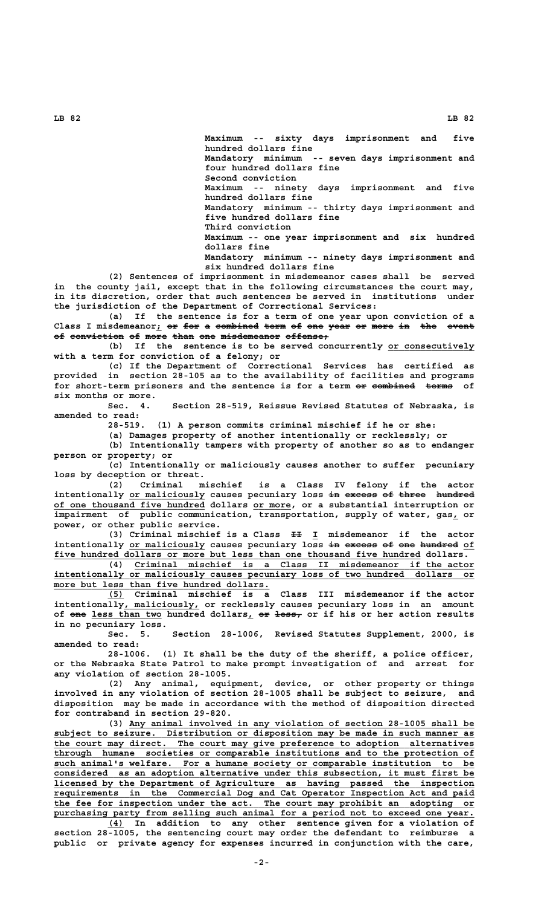**Maximum -- sixty days imprisonment and five hundred dollars fine Mandatory minimum -- seven days imprisonment and four hundred dollars fine Second conviction Maximum -- ninety days imprisonment and five hundred dollars fine Mandatory minimum -- thirty days imprisonment and five hundred dollars fine Third conviction Maximum -- one year imprisonment and six hundred**

 **dollars fine Mandatory minimum -- ninety days imprisonment and**

**six hundred dollars fine**

**(2) Sentences of imprisonment in misdemeanor cases shall be served in the county jail, except that in the following circumstances the court may, in its discretion, order that such sentences be served in institutions under the jurisdiction of the Department of Correctional Services:**

**(a) If the sentence is for a term of one year upon conviction of a** Class I misdemeanor<sub>*i*</sub> or for a combined term of one year or more in the event of conviction of more than one misdemeanor offense;

(b) If the sentence is to be served concurrently or consecutively **with a term for conviction of a felony; or**

**(c) If the Department of Correctional Services has certified as provided in section 28-105 as to the availability of facilities and programs** for short-term prisoners and the sentence is for a term or combined terms of **six months or more.**

**Sec. 4. Section 28-519, Reissue Revised Statutes of Nebraska, is amended to read:**

**28-519. (1) A person commits criminal mischief if he or she:**

**(a) Damages property of another intentionally or recklessly; or**

**(b) Intentionally tampers with property of another so as to endanger person or property; or**

**(c) Intentionally or maliciously causes another to suffer pecuniary loss by deception or threat.**

**(2) Criminal mischief is a Class IV felony if the actor** intentionally or maliciously causes pecuniary loss in excess of three hundred  **\_\_\_\_\_\_\_\_\_\_\_\_\_\_\_\_\_\_\_\_\_\_\_\_\_\_\_\_ \_\_\_\_\_\_\_ of one thousand five hundred dollars or more, or a substantial interruption or impairment of public communication, transportation, supply of water, gas, or \_ power, or other public service.**

 **—— \_ (3) Criminal mischief is a Class II I misdemeanor if the actor** intentionally or maliciously causes pecuniary loss in excess of one hundred of  **\_\_\_\_\_\_\_\_\_\_\_\_\_\_\_\_\_\_\_\_\_\_\_\_\_\_\_\_\_\_\_\_\_\_\_\_\_\_\_\_\_\_\_\_\_\_\_\_\_\_\_\_\_\_\_\_\_\_\_\_\_\_\_\_\_\_\_\_ five hundred dollars or more but less than one thousand five hundred dollars.**

 **\_\_\_\_\_\_\_\_\_\_\_\_\_\_\_\_\_\_\_\_\_\_\_\_\_\_\_\_\_\_\_\_\_\_\_\_\_\_\_\_\_\_\_\_\_\_\_\_\_\_\_\_\_\_\_\_\_\_\_\_\_\_\_ (4) Criminal mischief is a Class II misdemeanor if the actor \_\_\_\_\_\_\_\_\_\_\_\_\_\_\_\_\_\_\_\_\_\_\_\_\_\_\_\_\_\_\_\_\_\_\_\_\_\_\_\_\_\_\_\_\_\_\_\_\_\_\_\_\_\_\_\_\_\_\_\_\_\_\_\_\_\_\_\_\_\_\_\_\_\_\_\_\_\_ intentionally or maliciously causes pecuniary loss of two hundred dollars or** more but less than five hundred dollars.

 **\_\_\_ (5) Criminal mischief is a Class III misdemeanor if the actor** intentionally, maliciously, or recklessly causes pecuniary loss in an amount of one less than two hundred dollars, or less, or if his or her action results **in no pecuniary loss.**

**Sec. 5. Section 28-1006, Revised Statutes Supplement, 2000, is amended to read:**

**28-1006. (1) It shall be the duty of the sheriff, a police officer, or the Nebraska State Patrol to make prompt investigation of and arrest for any violation of section 28-1005.**

**(2) Any animal, equipment, device, or other property or things involved in any violation of section 28-1005 shall be subject to seizure, and disposition may be made in accordance with the method of disposition directed for contraband in section 29-820.**

 **\_\_\_\_\_\_\_\_\_\_\_\_\_\_\_\_\_\_\_\_\_\_\_\_\_\_\_\_\_\_\_\_\_\_\_\_\_\_\_\_\_\_\_\_\_\_\_\_\_\_\_\_\_\_\_\_\_\_\_\_\_\_\_\_ (3) Any animal involved in any violation of section 28-1005 shall be \_\_\_\_\_\_\_\_\_\_\_\_\_\_\_\_\_\_\_\_\_\_\_\_\_\_\_\_\_\_\_\_\_\_\_\_\_\_\_\_\_\_\_\_\_\_\_\_\_\_\_\_\_\_\_\_\_\_\_\_\_\_\_\_\_\_\_\_\_\_\_\_\_\_\_\_\_\_ subject to seizure. Distribution or disposition may be made in such manner as \_\_\_\_\_\_\_\_\_\_\_\_\_\_\_\_\_\_\_\_\_\_\_\_\_\_\_\_\_\_\_\_\_\_\_\_\_\_\_\_\_\_\_\_\_\_\_\_\_\_\_\_\_\_\_\_\_\_\_\_\_\_\_\_\_\_\_\_\_\_\_\_\_\_\_\_\_\_ the court may direct. The court may give preference to adoption alternatives \_\_\_\_\_\_\_\_\_\_\_\_\_\_\_\_\_\_\_\_\_\_\_\_\_\_\_\_\_\_\_\_\_\_\_\_\_\_\_\_\_\_\_\_\_\_\_\_\_\_\_\_\_\_\_\_\_\_\_\_\_\_\_\_\_\_\_\_\_\_\_\_\_\_\_\_\_\_ through humane societies or comparable institutions and to the protection of** such animal's welfare. For a humane society or comparable institution to be  **\_\_\_\_\_\_\_\_\_\_\_\_\_\_\_\_\_\_\_\_\_\_\_\_\_\_\_\_\_\_\_\_\_\_\_\_\_\_\_\_\_\_\_\_\_\_\_\_\_\_\_\_\_\_\_\_\_\_\_\_\_\_\_\_\_\_\_\_\_\_\_\_\_\_\_\_\_\_ considered as an adoption alternative under this subsection, it must first be \_\_\_\_\_\_\_\_\_\_\_\_\_\_\_\_\_\_\_\_\_\_\_\_\_\_\_\_\_\_\_\_\_\_\_\_\_\_\_\_\_\_\_\_\_\_\_\_\_\_\_\_\_\_\_\_\_\_\_\_\_\_\_\_\_\_\_\_\_\_\_\_\_\_\_\_\_\_ licensed by the Department of Agriculture as having passed the inspection \_\_\_\_\_\_\_\_\_\_\_\_\_\_\_\_\_\_\_\_\_\_\_\_\_\_\_\_\_\_\_\_\_\_\_\_\_\_\_\_\_\_\_\_\_\_\_\_\_\_\_\_\_\_\_\_\_\_\_\_\_\_\_\_\_\_\_\_\_\_\_\_\_\_\_\_\_\_ requirements in the Commercial Dog and Cat Operator Inspection Act and paid \_\_\_\_\_\_\_\_\_\_\_\_\_\_\_\_\_\_\_\_\_\_\_\_\_\_\_\_\_\_\_\_\_\_\_\_\_\_\_\_\_\_\_\_\_\_\_\_\_\_\_\_\_\_\_\_\_\_\_\_\_\_\_\_\_\_\_\_\_\_\_\_\_\_\_\_\_\_ the fee for inspection under the act. The court may prohibit an adopting or \_\_\_\_\_\_\_\_\_\_\_\_\_\_\_\_\_\_\_\_\_\_\_\_\_\_\_\_\_\_\_\_\_\_\_\_\_\_\_\_\_\_\_\_\_\_\_\_\_\_\_\_\_\_\_\_\_\_\_\_\_\_\_\_\_\_\_\_\_\_\_\_\_\_\_\_\_\_ purchasing party from selling such animal for a period not to exceed one year.**

 **\_\_\_ (4) In addition to any other sentence given for a violation of section 28-1005, the sentencing court may order the defendant to reimburse a public or private agency for expenses incurred in conjunction with the care,**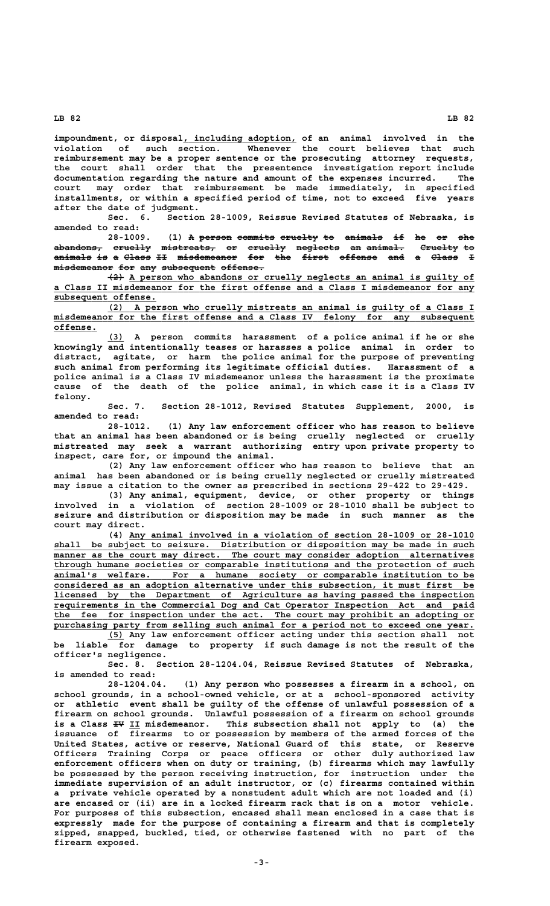**\_\_\_\_\_\_\_\_\_\_\_\_\_\_\_\_\_\_\_\_\_ impoundment, or disposal, including adoption, of an animal involved in the violation of such section. Whenever the court believes that such reimbursement may be a proper sentence or the prosecuting attorney requests, the court shall order that the presentence investigation report include documentation regarding the nature and amount of the expenses incurred. The court may order that reimbursement be made immediately, in specified installments, or within a specified period of time, not to exceed five years after the date of judgment.**

**Sec. 6. Section 28-1009, Reissue Revised Statutes of Nebraska, is amended to read:**

**28.1009. (1) A person commits cruelty to animals if he or she abandons, cruelly mistreats, or cruelly neglects an animal. Cruelty to ————————— ——————— —————————— —— ——————— ———————— —— ——————— ——————— — animals is a Class II misdemeanor for the first offense and a Class I ——————— —— — ————— —— ——————————— ——— ——— ————— ——————— ——— — —————**   $m$ isdemeanor for any subsequent offense.

 **——— \_\_\_\_\_\_\_\_\_\_\_\_\_\_\_\_\_\_\_\_\_\_\_\_\_\_\_\_\_\_\_\_\_\_\_\_\_\_\_\_\_\_\_\_\_\_\_\_\_\_\_\_\_\_\_\_\_\_\_\_\_\_\_\_ (2) A person who abandons or cruelly neglects an animal is guilty of \_\_\_\_\_\_\_\_\_\_\_\_\_\_\_\_\_\_\_\_\_\_\_\_\_\_\_\_\_\_\_\_\_\_\_\_\_\_\_\_\_\_\_\_\_\_\_\_\_\_\_\_\_\_\_\_\_\_\_\_\_\_\_\_\_\_\_\_\_\_\_\_\_\_\_\_\_\_ a Class II misdemeanor for the first offense and a Class I misdemeanor for any subsequent offense. \_\_\_\_\_\_\_\_\_\_\_\_\_\_\_\_\_\_\_**

 **\_\_\_\_\_\_\_\_\_\_\_\_\_\_\_\_\_\_\_\_\_\_\_\_\_\_\_\_\_\_\_\_\_\_\_\_\_\_\_\_\_\_\_\_\_\_\_\_\_\_\_\_\_\_\_\_\_\_\_\_\_\_\_\_\_\_\_\_ (2) A person who cruelly mistreats an animal is guilty of a Class I \_\_\_\_\_\_\_\_\_\_\_\_\_\_\_\_\_\_\_\_\_\_\_\_\_\_\_\_\_\_\_\_\_\_\_\_\_\_\_\_\_\_\_\_\_\_\_\_\_\_\_\_\_\_\_\_\_\_\_\_\_\_\_\_\_\_\_\_\_\_\_\_\_\_\_\_\_\_ misdemeanor for the first offense and a Class IV felony for any subsequent offense. \_\_\_\_\_\_\_\_**

 **\_\_\_ (3) A person commits harassment of a police animal if he or she knowingly and intentionally teases or harasses a police animal in order to distract, agitate, or harm the police animal for the purpose of preventing such animal from performing its legitimate official duties. Harassment of a police animal is a Class IV misdemeanor unless the harassment is the proximate cause of the death of the police animal, in which case it is a Class IV felony.**

**Sec. 7. Section 28-1012, Revised Statutes Supplement, 2000, is amended to read:**

**28-1012. (1) Any law enforcement officer who has reason to believe that an animal has been abandoned or is being cruelly neglected or cruelly mistreated may seek a warrant authorizing entry upon private property to inspect, care for, or impound the animal.**

**(2) Any law enforcement officer who has reason to believe that an animal has been abandoned or is being cruelly neglected or cruelly mistreated may issue a citation to the owner as prescribed in sections 29-422 to 29-429.**

**(3) Any animal, equipment, device, or other property or things involved in a violation of section 28-1009 or 28-1010 shall be subject to seizure and distribution or disposition may be made in such manner as the court may direct.**

 **\_\_\_\_\_\_\_\_\_\_\_\_\_\_\_\_\_\_\_\_\_\_\_\_\_\_\_\_\_\_\_\_\_\_\_\_\_\_\_\_\_\_\_\_\_\_\_\_\_\_\_\_\_\_\_\_\_\_\_\_\_\_\_\_ (4) Any animal involved in a violation of section 28-1009 or 28-1010 \_\_\_\_\_\_\_\_\_\_\_\_\_\_\_\_\_\_\_\_\_\_\_\_\_\_\_\_\_\_\_\_\_\_\_\_\_\_\_\_\_\_\_\_\_\_\_\_\_\_\_\_\_\_\_\_\_\_\_\_\_\_\_\_\_\_\_\_\_\_\_\_\_\_\_\_\_\_ shall be subject to seizure. Distribution or disposition may be made in such \_\_\_\_\_\_\_\_\_\_\_\_\_\_\_\_\_\_\_\_\_\_\_\_\_\_\_\_\_\_\_\_\_\_\_\_\_\_\_\_\_\_\_\_\_\_\_\_\_\_\_\_\_\_\_\_\_\_\_\_\_\_\_\_\_\_\_\_\_\_\_\_\_\_\_\_\_\_ manner as the court may direct. The court may consider adoption alternatives \_\_\_\_\_\_\_\_\_\_\_\_\_\_\_\_\_\_\_\_\_\_\_\_\_\_\_\_\_\_\_\_\_\_\_\_\_\_\_\_\_\_\_\_\_\_\_\_\_\_\_\_\_\_\_\_\_\_\_\_\_\_\_\_\_\_\_\_\_\_\_\_\_\_\_\_\_\_ through humane societies or comparable institutions and the protection of such \_\_\_\_\_\_\_\_\_\_\_\_\_\_\_\_\_\_\_\_\_\_\_\_\_\_\_\_\_\_\_\_\_\_\_\_\_\_\_\_\_\_\_\_\_\_\_\_\_\_\_\_\_\_\_\_\_\_\_\_\_\_\_\_\_\_\_\_\_\_\_\_\_\_\_\_\_\_ animal's welfare. For a humane society or comparable institution to be \_\_\_\_\_\_\_\_\_\_\_\_\_\_\_\_\_\_\_\_\_\_\_\_\_\_\_\_\_\_\_\_\_\_\_\_\_\_\_\_\_\_\_\_\_\_\_\_\_\_\_\_\_\_\_\_\_\_\_\_\_\_\_\_\_\_\_\_\_\_\_\_\_\_\_\_\_\_ considered as an adoption alternative under this subsection, it must first be \_\_\_\_\_\_\_\_\_\_\_\_\_\_\_\_\_\_\_\_\_\_\_\_\_\_\_\_\_\_\_\_\_\_\_\_\_\_\_\_\_\_\_\_\_\_\_\_\_\_\_\_\_\_\_\_\_\_\_\_\_\_\_\_\_\_\_\_\_\_\_\_\_\_\_\_\_\_ licensed by the Department of Agriculture as having passed the inspection \_\_\_\_\_\_\_\_\_\_\_\_\_\_\_\_\_\_\_\_\_\_\_\_\_\_\_\_\_\_\_\_\_\_\_\_\_\_\_\_\_\_\_\_\_\_\_\_\_\_\_\_\_\_\_\_\_\_\_\_\_\_\_\_\_\_\_\_\_\_\_\_\_\_\_\_\_\_ requirements in the Commercial Dog and Cat Operator Inspection Act and paid the fee for inspection under the act. The court may prohibit an adopting or** purchasing party from selling such animal for a period not to exceed one year.

 **\_\_\_ (5) Any law enforcement officer acting under this section shall not be liable for damage to property if such damage is not the result of the officer's negligence.**

**Sec. 8. Section 28-1204.04, Reissue Revised Statutes of Nebraska, is amended to read:**

**28-1204.04. (1) Any person who possesses a firearm in a school, on school grounds, in a school-owned vehicle, or at a school-sponsored activity or athletic event shall be guilty of the offense of unlawful possession of a firearm on school grounds. Unlawful possession of a firearm on school grounds** is a Class <del>IV</del> II misdemeanor. This subsection shall not apply to (a) the **issuance of firearms to or possession by members of the armed forces of the United States, active or reserve, National Guard of this state, or Reserve Officers Training Corps or peace officers or other duly authorized law enforcement officers when on duty or training, (b) firearms which may lawfully be possessed by the person receiving instruction, for instruction under the immediate supervision of an adult instructor, or (c) firearms contained within a private vehicle operated by a nonstudent adult which are not loaded and (i) are encased or (ii) are in a locked firearm rack that is on a motor vehicle. For purposes of this subsection, encased shall mean enclosed in a case that is expressly made for the purpose of containing a firearm and that is completely zipped, snapped, buckled, tied, or otherwise fastened with no part of the firearm exposed.**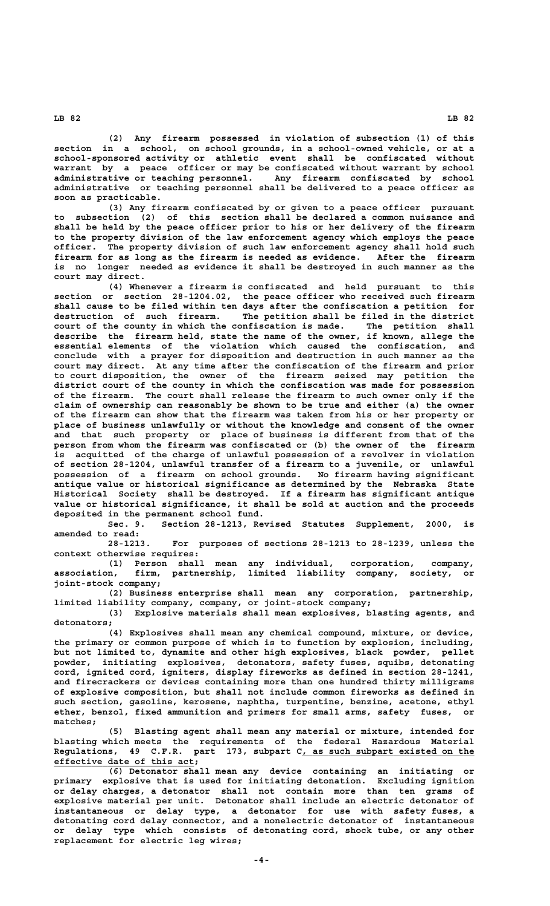**(2) Any firearm possessed in violation of subsection (1) of this section in a school, on school grounds, in a school-owned vehicle, or at a school-sponsored activity or athletic event shall be confiscated without warrant by a peace officer or may be confiscated without warrant by school administrative or teaching personnel. Any firearm confiscated by school administrative or teaching personnel shall be delivered to a peace officer as soon as practicable.**

**(3) Any firearm confiscated by or given to a peace officer pursuant to subsection (2) of this section shall be declared a common nuisance and shall be held by the peace officer prior to his or her delivery of the firearm to the property division of the law enforcement agency which employs the peace officer. The property division of such law enforcement agency shall hold such firearm for as long as the firearm is needed as evidence. After the firearm is no longer needed as evidence it shall be destroyed in such manner as the court may direct.**

**(4) Whenever a firearm is confiscated and held pursuant to this section or section 28-1204.02, the peace officer who received such firearm shall cause to be filed within ten days after the confiscation a petition for destruction of such firearm. The petition shall be filed in the district court of the county in which the confiscation is made. The petition shall describe the firearm held, state the name of the owner, if known, allege the essential elements of the violation which caused the confiscation, and conclude with a prayer for disposition and destruction in such manner as the court may direct. At any time after the confiscation of the firearm and prior to court disposition, the owner of the firearm seized may petition the district court of the county in which the confiscation was made for possession of the firearm. The court shall release the firearm to such owner only if the claim of ownership can reasonably be shown to be true and either (a) the owner of the firearm can show that the firearm was taken from his or her property or place of business unlawfully or without the knowledge and consent of the owner and that such property or place of business is different from that of the person from whom the firearm was confiscated or (b) the owner of the firearm is acquitted of the charge of unlawful possession of a revolver in violation of section 28-1204, unlawful transfer of a firearm to a juvenile, or unlawful possession of a firearm on school grounds. No firearm having significant antique value or historical significance as determined by the Nebraska State Historical Society shall be destroyed. If a firearm has significant antique value or historical significance, it shall be sold at auction and the proceeds deposited in the permanent school fund.**

**Sec. 9. Section 28-1213, Revised Statutes Supplement, 2000, is amended to read:**

**28-1213. For purposes of sections 28-1213 to 28-1239, unless the context otherwise requires:**

**(1) Person shall mean any individual, corporation, company, association, firm, partnership, limited liability company, society, or joint-stock company;**

**(2) Business enterprise shall mean any corporation, partnership, limited liability company, company, or joint-stock company;**

**(3) Explosive materials shall mean explosives, blasting agents, and detonators;**

**(4) Explosives shall mean any chemical compound, mixture, or device, the primary or common purpose of which is to function by explosion, including, but not limited to, dynamite and other high explosives, black powder, pellet powder, initiating explosives, detonators, safety fuses, squibs, detonating cord, ignited cord, igniters, display fireworks as defined in section 28-1241, and firecrackers or devices containing more than one hundred thirty milligrams of explosive composition, but shall not include common fireworks as defined in such section, gasoline, kerosene, naphtha, turpentine, benzine, acetone, ethyl ether, benzol, fixed ammunition and primers for small arms, safety fuses, or matches;**

**(5) Blasting agent shall mean any material or mixture, intended for blasting which meets the requirements of the federal Hazardous Material** Regulations, 49 C.F.R. part 173, subpart C, as such subpart existed on the  **\_\_\_\_\_\_\_\_\_\_\_\_\_\_\_\_\_\_\_\_\_\_\_\_\_\_ effective date of this act;**

**(6) Detonator shall mean any device containing an initiating or primary explosive that is used for initiating detonation. Excluding ignition or delay charges, a detonator shall not contain more than ten grams of explosive material per unit. Detonator shall include an electric detonator of instantaneous or delay type, a detonator for use with safety fuses, a detonating cord delay connector, and a nonelectric detonator of instantaneous or delay type which consists of detonating cord, shock tube, or any other replacement for electric leg wires;**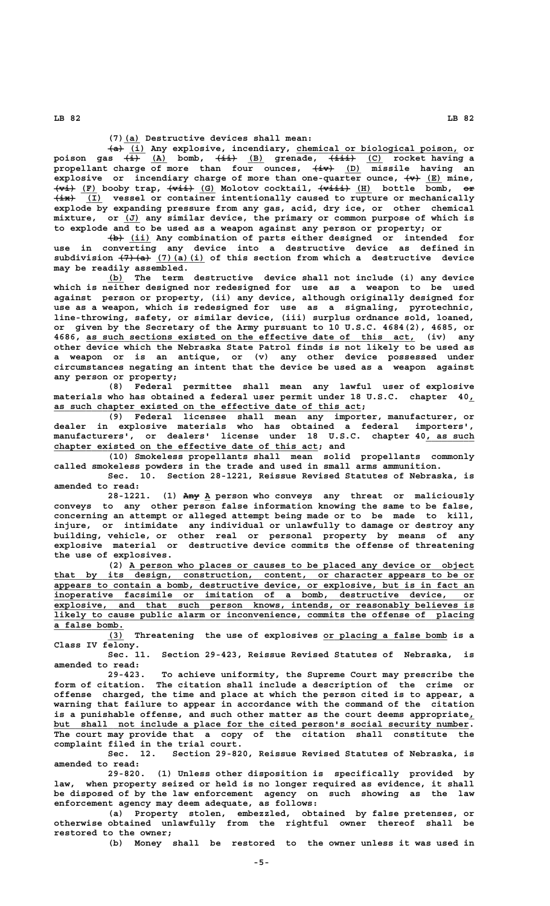**\_\_\_ (7)(a) Destructive devices shall mean:**

 $\overline{(\mathbf{i})}$  Any explosive, incendiary, chemical or biological poison, or  **——— \_\_\_ ———— \_\_\_ ————— \_\_\_ poison gas (i) (A) bomb, (ii) (B) grenade, (iii) (C) rocket having a propellant charge of more than four ounces, (iv) (D) missile having an ———— \_\_\_ explosive** or incendiary charge of more than one-quarter ounce,  $\{x\}$  (E) mine,  **———— \_\_\_ ————— \_\_\_ —————— \_\_\_ —— (vi) (F) booby trap, (vii) (G) Molotov cocktail, (viii) (H) bottle bomb, or ———— \_\_\_ (ix) (I) vessel or container intentionally caused to rupture or mechanically explode by expanding pressure from any gas, acid, dry ice, or other chemical** mixture, or  $(J)$  any similar device, the primary or common purpose of which is **to explode and to be used as a weapon against any person or property; or**

 **——— \_\_\_\_ (b) (ii) Any combination of parts either designed or intended for use in converting any device into a destructive device as defined in** subdivision  $(7)$   $(4)$   $(7)$   $(8)$   $(1)$  of this section from which a destructive device **may be readily assembled.**

 **\_\_\_ (b) The term destructive device shall not include (i) any device which is neither designed nor redesigned for use as a weapon to be used against person or property, (ii) any device, although originally designed for use as a weapon, which is redesigned for use as a signaling, pyrotechnic, line-throwing, safety, or similar device, (iii) surplus ordnance sold, loaned, or given by the Secretary of the Army pursuant to 10 U.S.C. 4684(2), 4685, or \_\_\_\_\_\_\_\_\_\_\_\_\_\_\_\_\_\_\_\_\_\_\_\_\_\_\_\_\_\_\_\_\_\_\_\_\_\_\_\_\_\_\_\_\_\_\_\_\_\_\_\_\_\_\_\_\_\_\_\_\_ 4686, as such sections existed on the effective date of this act, (iv) any other device which the Nebraska State Patrol finds is not likely to be used as a weapon or is an antique, or (v) any other device possessed under circumstances negating an intent that the device be used as a weapon against any person or property;**

**(8) Federal permittee shall mean any lawful user of explosive materials who has obtained a federal user permit under 18 U.S.C. chapter 40,\_ \_\_\_\_\_\_\_\_\_\_\_\_\_\_\_\_\_\_\_\_\_\_\_\_\_\_\_\_\_\_\_\_\_\_\_\_\_\_\_\_\_\_\_\_\_\_\_\_\_\_\_\_\_\_\_\_\_ as such chapter existed on the effective date of this act;**

**(9) Federal licensee shall mean any importer, manufacturer, or dealer in explosive materials who has obtained a federal importers', manufacturers', or dealers' license under 18 U.S.C. chapter 40, as such \_\_\_\_\_\_\_\_\_ \_\_\_\_\_\_\_\_\_\_\_\_\_\_\_\_\_\_\_\_\_\_\_\_\_\_\_\_\_\_\_\_\_\_\_\_\_\_\_\_\_\_\_\_\_\_\_\_\_ chapter existed on the effective date of this act; and**

**(10) Smokeless propellants shall mean solid propellants commonly called smokeless powders in the trade and used in small arms ammunition.**

**Sec. 10. Section 28-1221, Reissue Revised Statutes of Nebraska, is amended to read:**

 **——— \_ 28-1221. (1) Any A person who conveys any threat or maliciously conveys to any other person false information knowing the same to be false, concerning an attempt or alleged attempt being made or to be made to kill, injure, or intimidate any individual or unlawfully to damage or destroy any building, vehicle, or other real or personal property by means of any explosive material or destructive device commits the offense of threatening the use of explosives.**

 **\_\_\_\_\_\_\_\_\_\_\_\_\_\_\_\_\_\_\_\_\_\_\_\_\_\_\_\_\_\_\_\_\_\_\_\_\_\_\_\_\_\_\_\_\_\_\_\_\_\_\_\_\_\_\_\_\_\_\_\_\_\_\_\_ (2) A person who places or causes to be placed any device or object \_\_\_\_\_\_\_\_\_\_\_\_\_\_\_\_\_\_\_\_\_\_\_\_\_\_\_\_\_\_\_\_\_\_\_\_\_\_\_\_\_\_\_\_\_\_\_\_\_\_\_\_\_\_\_\_\_\_\_\_\_\_\_\_\_\_\_\_\_\_\_\_\_\_\_\_\_\_ that by its design, construction, content, or character appears to be or \_\_\_\_\_\_\_\_\_\_\_\_\_\_\_\_\_\_\_\_\_\_\_\_\_\_\_\_\_\_\_\_\_\_\_\_\_\_\_\_\_\_\_\_\_\_\_\_\_\_\_\_\_\_\_\_\_\_\_\_\_\_\_\_\_\_\_\_\_\_\_\_\_\_\_\_\_\_ appears to contain a bomb, destructive device, or explosive, but is in fact an \_\_\_\_\_\_\_\_\_\_\_\_\_\_\_\_\_\_\_\_\_\_\_\_\_\_\_\_\_\_\_\_\_\_\_\_\_\_\_\_\_\_\_\_\_\_\_\_\_\_\_\_\_\_\_\_\_\_\_\_\_\_\_\_\_\_\_\_\_\_\_\_\_\_\_\_\_\_ inoperative facsimile or imitation of a bomb, destructive device, or \_\_\_\_\_\_\_\_\_\_\_\_\_\_\_\_\_\_\_\_\_\_\_\_\_\_\_\_\_\_\_\_\_\_\_\_\_\_\_\_\_\_\_\_\_\_\_\_\_\_\_\_\_\_\_\_\_\_\_\_\_\_\_\_\_\_\_\_\_\_\_\_\_\_\_\_\_\_ explosive, and that such person knows, intends, or reasonably believes is \_\_\_\_\_\_\_\_\_\_\_\_\_\_\_\_\_\_\_\_\_\_\_\_\_\_\_\_\_\_\_\_\_\_\_\_\_\_\_\_\_\_\_\_\_\_\_\_\_\_\_\_\_\_\_\_\_\_\_\_\_\_\_\_\_\_\_\_\_\_\_\_\_\_\_\_\_\_ likely to cause public alarm or inconvenience, commits the offense of placing**

**a** false bomb.<br>(3)  **\_\_\_ \_\_\_\_\_\_\_\_\_\_\_\_\_\_\_\_\_\_\_\_\_\_\_ (3) Threatening the use of explosives or placing a false bomb is a Class IV felony.**

**Sec. 11. Section 29-423, Reissue Revised Statutes of Nebraska, is amended to read:**

**29-423. To achieve uniformity, the Supreme Court may prescribe the form of citation. The citation shall include a description of the crime or offense charged, the time and place at which the person cited is to appear, a warning that failure to appear in accordance with the command of the citation is a punishable offense, and such other matter as the court deems appropriate,\_** but shall not include a place for the cited person's social security number. **The court may provide that a copy of the citation shall constitute the complaint filed in the trial court.**

**Sec. 12. Section 29-820, Reissue Revised Statutes of Nebraska, is amended to read:**

**29-820. (1) Unless other disposition is specifically provided by law, when property seized or held is no longer required as evidence, it shall be disposed of by the law enforcement agency on such showing as the law enforcement agency may deem adequate, as follows:**

**(a) Property stolen, embezzled, obtained by false pretenses, or otherwise obtained unlawfully from the rightful owner thereof shall be restored to the owner;**

**(b) Money shall be restored to the owner unless it was used in**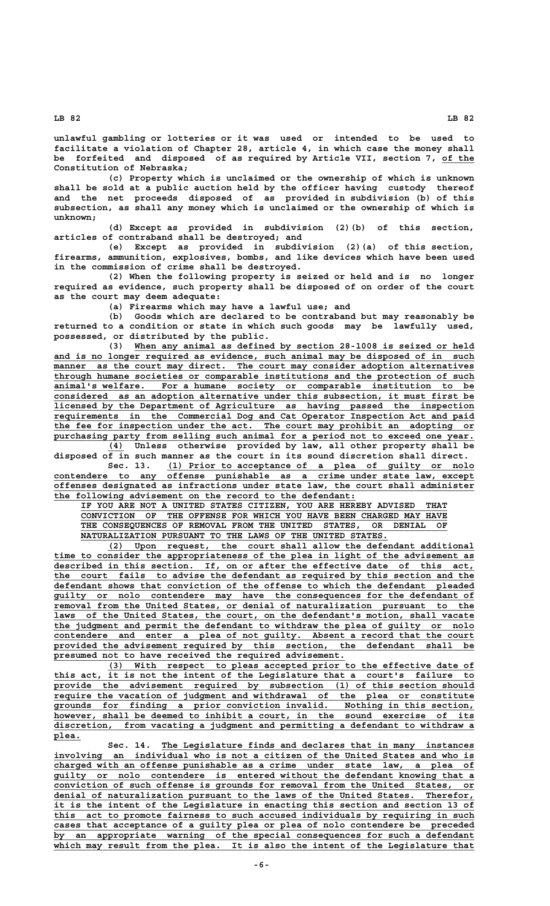**unlawful gambling or lotteries or it was used or intended to be used to facilitate a violation of Chapter 28, article 4, in which case the money shall** be forfeited and disposed of as required by Article VII, section 7, of the **Constitution of Nebraska;**

**(c) Property which is unclaimed or the ownership of which is unknown shall be sold at a public auction held by the officer having custody thereof and the net proceeds disposed of as provided in subdivision (b) of this subsection, as shall any money which is unclaimed or the ownership of which is unknown;**

**(d) Except as provided in subdivision (2)(b) of this section, articles of contraband shall be destroyed; and**

**(e) Except as provided in subdivision (2)(a) of this section, firearms, ammunition, explosives, bombs, and like devices which have been used in the commission of crime shall be destroyed.**

**(2) When the following property is seized or held and is no longer required as evidence, such property shall be disposed of on order of the court as the court may deem adequate:**

**(a) Firearms which may have a lawful use; and**

**(b) Goods which are declared to be contraband but may reasonably be returned to a condition or state in which such goods may be lawfully used, possessed, or distributed by the public.**

(3) When any animal as defined by section 28-1008 is seized or held and is no longer required as evidence, such animal may be disposed of in such  **\_\_\_\_\_\_\_\_\_\_\_\_\_\_\_\_\_\_\_\_\_\_\_\_\_\_\_\_\_\_\_\_\_\_\_\_\_\_\_\_\_\_\_\_\_\_\_\_\_\_\_\_\_\_\_\_\_\_\_\_\_\_\_\_\_\_\_\_\_\_\_\_\_\_\_\_\_\_ manner as the court may direct. The court may consider adoption alternatives \_\_\_\_\_\_\_\_\_\_\_\_\_\_\_\_\_\_\_\_\_\_\_\_\_\_\_\_\_\_\_\_\_\_\_\_\_\_\_\_\_\_\_\_\_\_\_\_\_\_\_\_\_\_\_\_\_\_\_\_\_\_\_\_\_\_\_\_\_\_\_\_\_\_\_\_\_\_ through humane societies or comparable institutions and the protection of such \_\_\_\_\_\_\_\_\_\_\_\_\_\_\_\_\_\_\_\_\_\_\_\_\_\_\_\_\_\_\_\_\_\_\_\_\_\_\_\_\_\_\_\_\_\_\_\_\_\_\_\_\_\_\_\_\_\_\_\_\_\_\_\_\_\_\_\_\_\_\_\_\_\_\_\_\_\_ animal's welfare. For a humane society or comparable institution to be \_\_\_\_\_\_\_\_\_\_\_\_\_\_\_\_\_\_\_\_\_\_\_\_\_\_\_\_\_\_\_\_\_\_\_\_\_\_\_\_\_\_\_\_\_\_\_\_\_\_\_\_\_\_\_\_\_\_\_\_\_\_\_\_\_\_\_\_\_\_\_\_\_\_\_\_\_\_ considered as an adoption alternative under this subsection, it must first be \_\_\_\_\_\_\_\_\_\_\_\_\_\_\_\_\_\_\_\_\_\_\_\_\_\_\_\_\_\_\_\_\_\_\_\_\_\_\_\_\_\_\_\_\_\_\_\_\_\_\_\_\_\_\_\_\_\_\_\_\_\_\_\_\_\_\_\_\_\_\_\_\_\_\_\_\_\_ licensed by the Department of Agriculture as having passed the inspection \_\_\_\_\_\_\_\_\_\_\_\_\_\_\_\_\_\_\_\_\_\_\_\_\_\_\_\_\_\_\_\_\_\_\_\_\_\_\_\_\_\_\_\_\_\_\_\_\_\_\_\_\_\_\_\_\_\_\_\_\_\_\_\_\_\_\_\_\_\_\_\_\_\_\_\_\_\_ requirements in the Commercial Dog and Cat Operator Inspection Act and paid \_\_\_\_\_\_\_\_\_\_\_\_\_\_\_\_\_\_\_\_\_\_\_\_\_\_\_\_\_\_\_\_\_\_\_\_\_\_\_\_\_\_\_\_\_\_\_\_\_\_\_\_\_\_\_\_\_\_\_\_\_\_\_\_\_\_\_\_\_\_\_\_\_\_\_\_\_\_ the fee for inspection under the act. The court may prohibit an adopting or** purchasing party from selling such animal for a period not to exceed one year.

 **\_\_\_ (4) Unless otherwise provided by law, all other property shall be disposed of in such manner as the court in its sound discretion shall direct. \_\_\_\_\_\_\_\_\_\_\_\_\_\_\_\_\_\_\_\_\_\_\_\_\_\_\_\_\_\_\_\_\_\_\_\_\_\_\_\_\_\_\_\_\_\_\_\_\_\_\_\_\_\_\_\_\_ Sec. 13. (1) Prior to acceptance of a plea of guilty or nolo**

 **\_\_\_\_\_\_\_\_\_\_\_\_\_\_\_\_\_\_\_\_\_\_\_\_\_\_\_\_\_\_\_\_\_\_\_\_\_\_\_\_\_\_\_\_\_\_\_\_\_\_\_\_\_\_\_\_\_\_\_\_\_\_\_\_\_\_\_\_\_\_\_\_\_\_\_\_\_\_ contendere to any offense punishable as a crime under state law, except \_\_\_\_\_\_\_\_\_\_\_\_\_\_\_\_\_\_\_\_\_\_\_\_\_\_\_\_\_\_\_\_\_\_\_\_\_\_\_\_\_\_\_\_\_\_\_\_\_\_\_\_\_\_\_\_\_\_\_\_\_\_\_\_\_\_\_\_\_\_\_\_\_\_\_\_\_\_ offenses designated as infractions under state law, the court shall administer \_\_\_\_\_\_\_\_\_\_\_\_\_\_\_\_\_\_\_\_\_\_\_\_\_\_\_\_\_\_\_\_\_\_\_\_\_\_\_\_\_\_\_\_\_\_\_\_\_\_\_\_\_\_\_\_ the following advisement on the record to the defendant:**

 **\_\_\_\_\_\_\_\_\_\_\_\_\_\_\_\_\_\_\_\_\_\_\_\_\_\_\_\_\_\_\_\_\_\_\_\_\_\_\_\_\_\_\_\_\_\_\_\_\_\_\_\_\_\_\_\_\_\_\_\_\_\_\_\_\_\_\_\_ IF YOU ARE NOT A UNITED STATES CITIZEN, YOU ARE HEREBY ADVISED THAT \_\_\_\_\_\_\_\_\_\_\_\_\_\_\_\_\_\_\_\_\_\_\_\_\_\_\_\_\_\_\_\_\_\_\_\_\_\_\_\_\_\_\_\_\_\_\_\_\_\_\_\_\_\_\_\_\_\_\_\_\_\_\_\_\_\_\_\_ CONVICTION OF THE OFFENSE FOR WHICH YOU HAVE BEEN CHARGED MAY HAVE** THE CONSEQUENCES OF REMOVAL FROM THE UNITED STATES, OR DENIAL  $\blacksquare$   $\blacksquare$   $\blacksquare$   $\blacksquare$   $\blacksquare$   $\blacksquare$   $\blacksquare$   $\blacksquare$   $\blacksquare$   $\blacksquare$   $\blacksquare$   $\blacksquare$   $\blacksquare$   $\blacksquare$   $\blacksquare$   $\blacksquare$   $\blacksquare$   $\blacksquare$   $\blacksquare$   $\blacksquare$   $\blacksquare$   $\blacksquare$   $\blacksquare$   $\blacksquare$   $\blacksquare$   $\blacksquare$   $\blacksquare$   $\blacksquare$   $\blacksquare$   $\blacksquare$   $\blacksquare$   $\blacksquare$ 

 **\_\_\_\_\_\_\_\_\_\_\_\_\_\_\_\_\_\_\_\_\_\_\_\_\_\_\_\_\_\_\_\_\_\_\_\_\_\_\_\_\_\_\_\_\_\_\_\_\_\_\_\_\_\_\_\_\_\_\_\_\_\_\_\_\_\_\_\_ (2) Upon request, the court shall allow the defendant additional \_\_\_\_\_\_\_\_\_\_\_\_\_\_\_\_\_\_\_\_\_\_\_\_\_\_\_\_\_\_\_\_\_\_\_\_\_\_\_\_\_\_\_\_\_\_\_\_\_\_\_\_\_\_\_\_\_\_\_\_\_\_\_\_\_\_\_\_\_\_\_\_\_\_\_\_\_\_ time to consider the appropriateness of the plea in light of the advisement as \_\_\_\_\_\_\_\_\_\_\_\_\_\_\_\_\_\_\_\_\_\_\_\_\_\_\_\_\_\_\_\_\_\_\_\_\_\_\_\_\_\_\_\_\_\_\_\_\_\_\_\_\_\_\_\_\_\_\_\_\_\_\_\_\_\_\_\_\_\_\_\_\_\_\_\_\_\_ described in this section. If, on or after the effective date of this act, \_\_\_\_\_\_\_\_\_\_\_\_\_\_\_\_\_\_\_\_\_\_\_\_\_\_\_\_\_\_\_\_\_\_\_\_\_\_\_\_\_\_\_\_\_\_\_\_\_\_\_\_\_\_\_\_\_\_\_\_\_\_\_\_\_\_\_\_\_\_\_\_\_\_\_\_\_\_ the court fails to advise the defendant as required by this section and the \_\_\_\_\_\_\_\_\_\_\_\_\_\_\_\_\_\_\_\_\_\_\_\_\_\_\_\_\_\_\_\_\_\_\_\_\_\_\_\_\_\_\_\_\_\_\_\_\_\_\_\_\_\_\_\_\_\_\_\_\_\_\_\_\_\_\_\_\_\_\_\_\_\_\_\_\_\_ defendant shows that conviction of the offense to which the defendant pleaded \_\_\_\_\_\_\_\_\_\_\_\_\_\_\_\_\_\_\_\_\_\_\_\_\_\_\_\_\_\_\_\_\_\_\_\_\_\_\_\_\_\_\_\_\_\_\_\_\_\_\_\_\_\_\_\_\_\_\_\_\_\_\_\_\_\_\_\_\_\_\_\_\_\_\_\_\_\_ guilty or nolo contendere may have the consequences for the defendant of \_\_\_\_\_\_\_\_\_\_\_\_\_\_\_\_\_\_\_\_\_\_\_\_\_\_\_\_\_\_\_\_\_\_\_\_\_\_\_\_\_\_\_\_\_\_\_\_\_\_\_\_\_\_\_\_\_\_\_\_\_\_\_\_\_\_\_\_\_\_\_\_\_\_\_\_\_\_ removal from the United States, or denial of naturalization pursuant to the** laws of the United States, the court, on the defendant's motion, shall vacate  **\_\_\_\_\_\_\_\_\_\_\_\_\_\_\_\_\_\_\_\_\_\_\_\_\_\_\_\_\_\_\_\_\_\_\_\_\_\_\_\_\_\_\_\_\_\_\_\_\_\_\_\_\_\_\_\_\_\_\_\_\_\_\_\_\_\_\_\_\_\_\_\_\_\_\_\_\_\_ the judgment and permit the defendant to withdraw the plea of guilty or nolo \_\_\_\_\_\_\_\_\_\_\_\_\_\_\_\_\_\_\_\_\_\_\_\_\_\_\_\_\_\_\_\_\_\_\_\_\_\_\_\_\_\_\_\_\_\_\_\_\_\_\_\_\_\_\_\_\_\_\_\_\_\_\_\_\_\_\_\_\_\_\_\_\_\_\_\_\_\_ contendere and enter a plea of not guilty. Absent a record that the court \_\_\_\_\_\_\_\_\_\_\_\_\_\_\_\_\_\_\_\_\_\_\_\_\_\_\_\_\_\_\_\_\_\_\_\_\_\_\_\_\_\_\_\_\_\_\_\_\_\_\_\_\_\_\_\_\_\_\_\_\_\_\_\_\_\_\_\_\_\_\_\_\_\_\_\_\_\_ provided the advisement required by this section, the defendant shall be \_\_\_\_\_\_\_\_\_\_\_\_\_\_\_\_\_\_\_\_\_\_\_\_\_\_\_\_\_\_\_\_\_\_\_\_\_\_\_\_\_\_\_\_\_\_\_\_\_\_\_\_\_\_ presumed not to have received the required advisement.**

 **\_\_\_\_\_\_\_\_\_\_\_\_\_\_\_\_\_\_\_\_\_\_\_\_\_\_\_\_\_\_\_\_\_\_\_\_\_\_\_\_\_\_\_\_\_\_\_\_\_\_\_\_\_\_\_\_\_\_\_\_\_\_\_\_\_\_\_\_ (3) With respect to pleas accepted prior to the effective date of \_\_\_\_\_\_\_\_\_\_\_\_\_\_\_\_\_\_\_\_\_\_\_\_\_\_\_\_\_\_\_\_\_\_\_\_\_\_\_\_\_\_\_\_\_\_\_\_\_\_\_\_\_\_\_\_\_\_\_\_\_\_\_\_\_\_\_\_\_\_\_\_\_\_\_\_\_\_ this act, it is not the intent of the Legislature that a court's failure to** provide the advisement required by subsection (1) of this section should  **\_\_\_\_\_\_\_\_\_\_\_\_\_\_\_\_\_\_\_\_\_\_\_\_\_\_\_\_\_\_\_\_\_\_\_\_\_\_\_\_\_\_\_\_\_\_\_\_\_\_\_\_\_\_\_\_\_\_\_\_\_\_\_\_\_\_\_\_\_\_\_\_\_\_\_\_\_\_ require the vacation of judgment and withdrawal of the plea or constitute \_\_\_\_\_\_\_\_\_\_\_\_\_\_\_\_\_\_\_\_\_\_\_\_\_\_\_\_\_\_\_\_\_\_\_\_\_\_\_\_\_\_\_\_\_\_\_\_\_\_\_\_\_\_\_\_\_\_\_\_\_\_\_\_\_\_\_\_\_\_\_\_\_\_\_\_\_\_ grounds for finding a prior conviction invalid. Nothing in this section, \_\_\_\_\_\_\_\_\_\_\_\_\_\_\_\_\_\_\_\_\_\_\_\_\_\_\_\_\_\_\_\_\_\_\_\_\_\_\_\_\_\_\_\_\_\_\_\_\_\_\_\_\_\_\_\_\_\_\_\_\_\_\_\_\_\_\_\_\_\_\_\_\_\_\_\_\_\_ however, shall be deemed to inhibit a court, in the sound exercise of its \_\_\_\_\_\_\_\_\_\_\_\_\_\_\_\_\_\_\_\_\_\_\_\_\_\_\_\_\_\_\_\_\_\_\_\_\_\_\_\_\_\_\_\_\_\_\_\_\_\_\_\_\_\_\_\_\_\_\_\_\_\_\_\_\_\_\_\_\_\_\_\_\_\_\_\_\_\_ discretion, from vacating a judgment and permitting a defendant to withdraw a plea.\_\_\_\_\_**

 **\_\_\_\_\_\_\_\_\_\_\_\_\_\_\_\_\_\_\_\_\_\_\_\_\_\_\_\_\_\_\_\_\_\_\_\_\_\_\_\_\_\_\_\_\_\_\_\_\_\_\_\_\_\_\_\_\_\_ Sec. 14. The Legislature finds and declares that in many instances \_\_\_\_\_\_\_\_\_\_\_\_\_\_\_\_\_\_\_\_\_\_\_\_\_\_\_\_\_\_\_\_\_\_\_\_\_\_\_\_\_\_\_\_\_\_\_\_\_\_\_\_\_\_\_\_\_\_\_\_\_\_\_\_\_\_\_\_\_\_\_\_\_\_\_\_\_\_ involving an individual who is not a citizen of the United States and who is \_\_\_\_\_\_\_\_\_\_\_\_\_\_\_\_\_\_\_\_\_\_\_\_\_\_\_\_\_\_\_\_\_\_\_\_\_\_\_\_\_\_\_\_\_\_\_\_\_\_\_\_\_\_\_\_\_\_\_\_\_\_\_\_\_\_\_\_\_\_\_\_\_\_\_\_\_\_ charged with an offense punishable as a crime under state law, a plea of \_\_\_\_\_\_\_\_\_\_\_\_\_\_\_\_\_\_\_\_\_\_\_\_\_\_\_\_\_\_\_\_\_\_\_\_\_\_\_\_\_\_\_\_\_\_\_\_\_\_\_\_\_\_\_\_\_\_\_\_\_\_\_\_\_\_\_\_\_\_\_\_\_\_\_\_\_\_ guilty or nolo contendere is entered without the defendant knowing that a \_\_\_\_\_\_\_\_\_\_\_\_\_\_\_\_\_\_\_\_\_\_\_\_\_\_\_\_\_\_\_\_\_\_\_\_\_\_\_\_\_\_\_\_\_\_\_\_\_\_\_\_\_\_\_\_\_\_\_\_\_\_\_\_\_\_\_\_\_\_\_\_\_\_\_\_\_\_ conviction of such offense is grounds for removal from the United States, or \_\_\_\_\_\_\_\_\_\_\_\_\_\_\_\_\_\_\_\_\_\_\_\_\_\_\_\_\_\_\_\_\_\_\_\_\_\_\_\_\_\_\_\_\_\_\_\_\_\_\_\_\_\_\_\_\_\_\_\_\_\_\_\_\_\_\_\_\_\_\_\_\_\_\_\_\_\_ denial of naturalization pursuant to the laws of the United States. Therefor, \_\_\_\_\_\_\_\_\_\_\_\_\_\_\_\_\_\_\_\_\_\_\_\_\_\_\_\_\_\_\_\_\_\_\_\_\_\_\_\_\_\_\_\_\_\_\_\_\_\_\_\_\_\_\_\_\_\_\_\_\_\_\_\_\_\_\_\_\_\_\_\_\_\_\_\_\_\_ it is the intent of the Legislature in enacting this section and section 13 of \_\_\_\_\_\_\_\_\_\_\_\_\_\_\_\_\_\_\_\_\_\_\_\_\_\_\_\_\_\_\_\_\_\_\_\_\_\_\_\_\_\_\_\_\_\_\_\_\_\_\_\_\_\_\_\_\_\_\_\_\_\_\_\_\_\_\_\_\_\_\_\_\_\_\_\_\_\_ this act to promote fairness to such accused individuals by requiring in such \_\_\_\_\_\_\_\_\_\_\_\_\_\_\_\_\_\_\_\_\_\_\_\_\_\_\_\_\_\_\_\_\_\_\_\_\_\_\_\_\_\_\_\_\_\_\_\_\_\_\_\_\_\_\_\_\_\_\_\_\_\_\_\_\_\_\_\_\_\_\_\_\_\_\_\_\_\_ cases that acceptance of a guilty plea or plea of nolo contendere be preceded \_\_\_\_\_\_\_\_\_\_\_\_\_\_\_\_\_\_\_\_\_\_\_\_\_\_\_\_\_\_\_\_\_\_\_\_\_\_\_\_\_\_\_\_\_\_\_\_\_\_\_\_\_\_\_\_\_\_\_\_\_\_\_\_\_\_\_\_\_\_\_\_\_\_\_\_\_\_ by an appropriate warning of the special consequences for such a defendant** which may result from the plea. It is also the intent of the Legislature that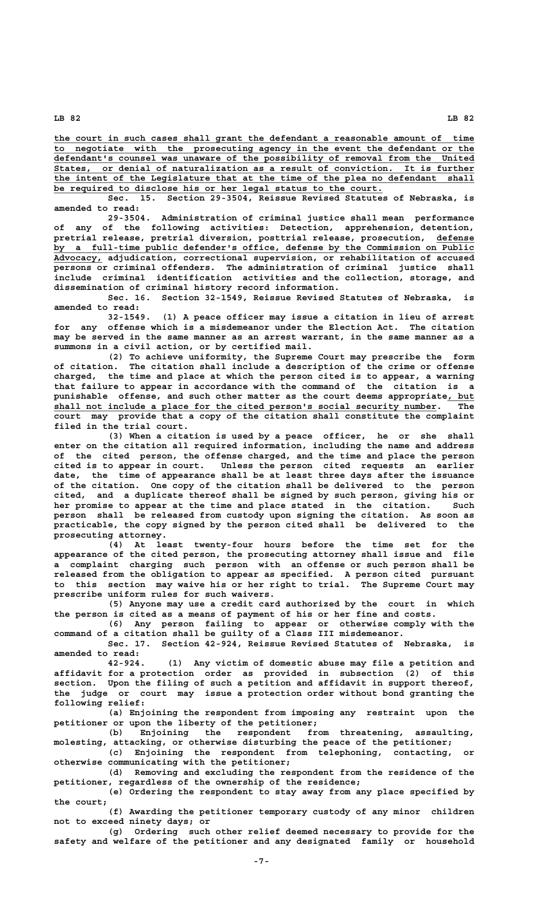**\_\_\_\_\_\_\_\_\_\_\_\_\_\_\_\_\_\_\_\_\_\_\_\_\_\_\_\_\_\_\_\_\_\_\_\_\_\_\_\_\_\_\_\_\_\_\_\_\_\_\_\_\_\_\_\_\_\_\_\_\_\_\_\_\_\_\_\_\_\_\_\_\_\_\_\_\_\_ the court in such cases shall grant the defendant a reasonable amount of time \_\_\_\_\_\_\_\_\_\_\_\_\_\_\_\_\_\_\_\_\_\_\_\_\_\_\_\_\_\_\_\_\_\_\_\_\_\_\_\_\_\_\_\_\_\_\_\_\_\_\_\_\_\_\_\_\_\_\_\_\_\_\_\_\_\_\_\_\_\_\_\_\_\_\_\_\_\_ to negotiate with the prosecuting agency in the event the defendant or the \_\_\_\_\_\_\_\_\_\_\_\_\_\_\_\_\_\_\_\_\_\_\_\_\_\_\_\_\_\_\_\_\_\_\_\_\_\_\_\_\_\_\_\_\_\_\_\_\_\_\_\_\_\_\_\_\_\_\_\_\_\_\_\_\_\_\_\_\_\_\_\_\_\_\_\_\_\_ defendant's counsel was unaware of the possibility of removal from the United \_\_\_\_\_\_\_\_\_\_\_\_\_\_\_\_\_\_\_\_\_\_\_\_\_\_\_\_\_\_\_\_\_\_\_\_\_\_\_\_\_\_\_\_\_\_\_\_\_\_\_\_\_\_\_\_\_\_\_\_\_\_\_\_\_\_\_\_\_\_\_\_\_\_\_\_\_\_ States, or denial of naturalization as a result of conviction. It is further \_\_\_\_\_\_\_\_\_\_\_\_\_\_\_\_\_\_\_\_\_\_\_\_\_\_\_\_\_\_\_\_\_\_\_\_\_\_\_\_\_\_\_\_\_\_\_\_\_\_\_\_\_\_\_\_\_\_\_\_\_\_\_\_\_\_\_\_\_\_\_\_\_\_\_\_\_\_ the intent of the Legislature that at the time of the plea no defendant shall be required to disclose his or her legal status to the court.**<br>Sec. 15. Section 29-3504, Reissue Revised Statute

Section 29-3504, Reissue Revised Statutes of Nebraska, is **amended to read:**

**29-3504. Administration of criminal justice shall mean performance of any of the following activities: Detection, apprehension, detention, pretrial release, pretrial diversion, posttrial release, prosecution, defense \_\_\_\_\_\_\_ \_\_\_\_\_\_\_\_\_\_\_\_\_\_\_\_\_\_\_\_\_\_\_\_\_\_\_\_\_\_\_\_\_\_\_\_\_\_\_\_\_\_\_\_\_\_\_\_\_\_\_\_\_\_\_\_\_\_\_\_\_\_\_\_\_\_\_\_\_\_\_\_\_\_\_\_\_\_ by a full-time public defender's office, defense by the Commission on Public \_\_\_\_\_\_\_\_\_ Advocacy, adjudication, correctional supervision, or rehabilitation of accused persons or criminal offenders. The administration of criminal justice shall include criminal identification activities and the collection, storage, and dissemination of criminal history record information.**

**Sec. 16. Section 32-1549, Reissue Revised Statutes of Nebraska, is amended to read:**

**32-1549. (1) A peace officer may issue a citation in lieu of arrest for any offense which is a misdemeanor under the Election Act. The citation may be served in the same manner as an arrest warrant, in the same manner as a summons in a civil action, or by certified mail.**

**(2) To achieve uniformity, the Supreme Court may prescribe the form of citation. The citation shall include a description of the crime or offense charged, the time and place at which the person cited is to appear, a warning that failure to appear in accordance with the command of the citation is a** punishable offense, and such other matter as the court deems appropriate<u>, but</u>  **\_\_\_\_\_\_\_\_\_\_\_\_\_\_\_\_\_\_\_\_\_\_\_\_\_\_\_\_\_\_\_\_\_\_\_\_\_\_\_\_\_\_\_\_\_\_\_\_\_\_\_\_\_\_\_\_\_\_\_\_\_\_\_\_\_\_\_\_\_\_\_ shall not include a place for the cited person's social security number. The court may provide that a copy of the citation shall constitute the complaint filed in the trial court.**

**(3) When a citation is used by a peace officer, he or she shall enter on the citation all required information, including the name and address of the cited person, the offense charged, and the time and place the person cited is to appear in court. Unless the person cited requests an earlier date, the time of appearance shall be at least three days after the issuance of the citation. One copy of the citation shall be delivered to the person cited, and a duplicate thereof shall be signed by such person, giving his or her promise to appear at the time and place stated in the citation. Such person shall be released from custody upon signing the citation. As soon as practicable, the copy signed by the person cited shall be delivered to the prosecuting attorney.**

**(4) At least twenty-four hours before the time set for the appearance of the cited person, the prosecuting attorney shall issue and file a complaint charging such person with an offense or such person shall be released from the obligation to appear as specified. A person cited pursuant to this section may waive his or her right to trial. The Supreme Court may prescribe uniform rules for such waivers.**

**(5) Anyone may use a credit card authorized by the court in which the person is cited as a means of payment of his or her fine and costs.**

**(6) Any person failing to appear or otherwise comply with the command of a citation shall be guilty of a Class III misdemeanor.**

**Sec. 17. Section 42-924, Reissue Revised Statutes of Nebraska, is amended to read:**

**42-924. (1) Any victim of domestic abuse may file a petition and affidavit for a protection order as provided in subsection (2) of this section. Upon the filing of such a petition and affidavit in support thereof, the judge or court may issue a protection order without bond granting the following relief:**

**(a) Enjoining the respondent from imposing any restraint upon the petitioner or upon the liberty of the petitioner;**

**(b) Enjoining the respondent from threatening, assaulting, molesting, attacking, or otherwise disturbing the peace of the petitioner;**

**(c) Enjoining the respondent from telephoning, contacting, or otherwise communicating with the petitioner;**

**(d) Removing and excluding the respondent from the residence of the petitioner, regardless of the ownership of the residence;**

**(e) Ordering the respondent to stay away from any place specified by the court;**

**(f) Awarding the petitioner temporary custody of any minor children not to exceed ninety days; or**

**(g) Ordering such other relief deemed necessary to provide for the safety and welfare of the petitioner and any designated family or household**